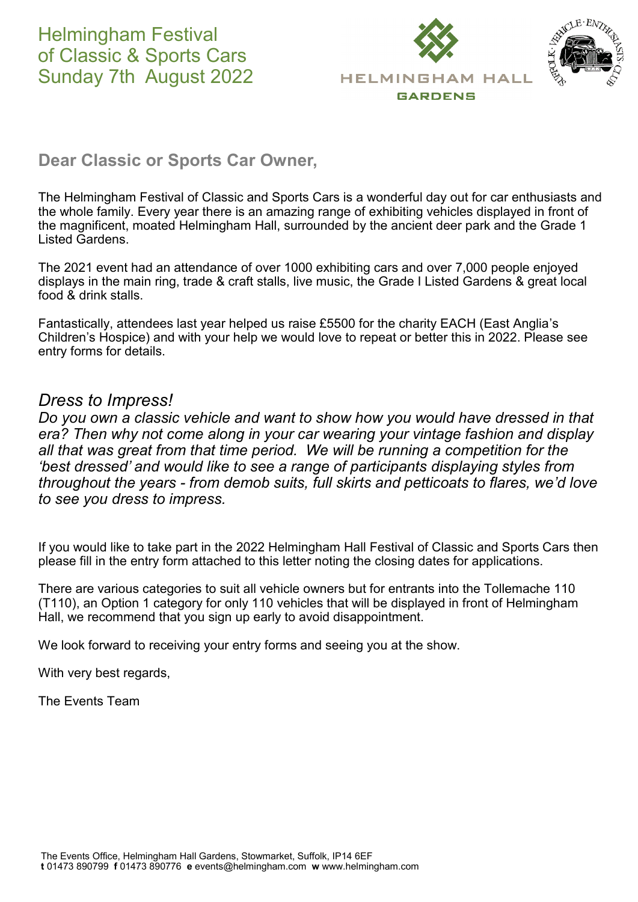

# **Dear Classic or Sports Car Owner,**

The Helmingham Festival of Classic and Sports Cars is a wonderful day out for car enthusiasts and the whole family. Every year there is an amazing range of exhibiting vehicles displayed in front of the magnificent, moated Helmingham Hall, surrounded by the ancient deer park and the Grade 1 Listed Gardens.

The 2021 event had an attendance of over 1000 exhibiting cars and over 7,000 people enjoyed displays in the main ring, trade & craft stalls, live music, the Grade I Listed Gardens & great local food & drink stalls.

Fantastically, attendees last year helped us raise £5500 for the charity EACH (East Anglia's Children's Hospice) and with your help we would love to repeat or better this in 2022. Please see entry forms for details.

## *Dress to Impress!*

*Do you own a classic vehicle and want to show how you would have dressed in that era? Then why not come along in your car wearing your vintage fashion and display all that was great from that time period. We will be running a competition for the 'best dressed' and would like to see a range of participants displaying styles from throughout the years - from demob suits, full skirts and petticoats to flares, we'd love to see you dress to impress.*

If you would like to take part in the 2022 Helmingham Hall Festival of Classic and Sports Cars then please fill in the entry form attached to this letter noting the closing dates for applications.

There are various categories to suit all vehicle owners but for entrants into the Tollemache 110 (T110), an Option 1 category for only 110 vehicles that will be displayed in front of Helmingham Hall, we recommend that you sign up early to avoid disappointment.

We look forward to receiving your entry forms and seeing you at the show.

With very best regards,

The Events Team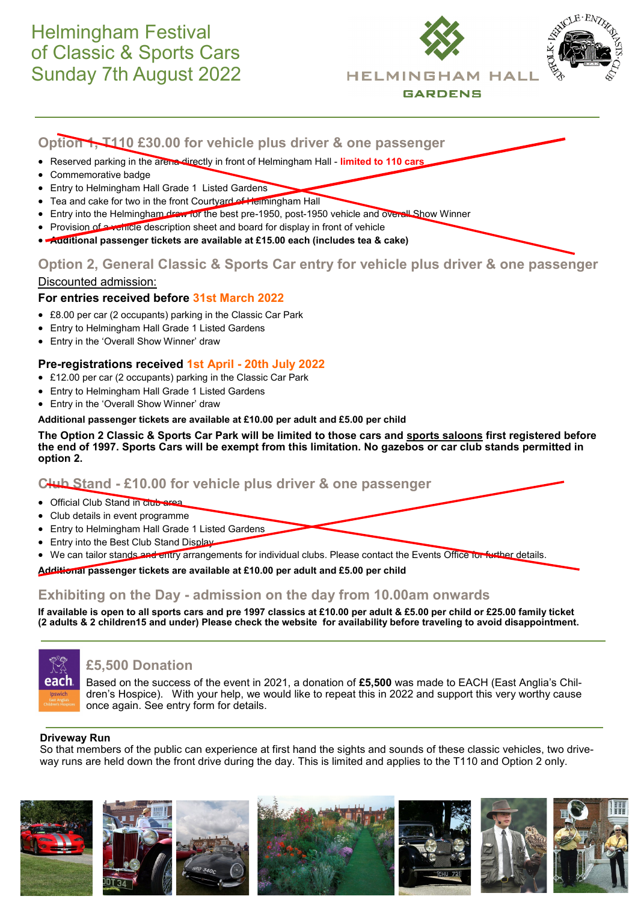# Helmingham Festival of Classic & Sports Cars Sunday 7th August 2022





## **Option 2, General Classic & Sports Car entry for vehicle plus driver & one passenger**

## Discounted admission:

## **For entries received before 31st March 2022**

- £8.00 per car (2 occupants) parking in the Classic Car Park
- Entry to Helmingham Hall Grade 1 Listed Gardens
- Entry in the 'Overall Show Winner' draw

## **Pre-registrations received 1st April - 20th July 2022**

- £12.00 per car (2 occupants) parking in the Classic Car Park
- Entry to Helmingham Hall Grade 1 Listed Gardens
- Entry in the 'Overall Show Winner' draw

#### **Additional passenger tickets are available at £10.00 per adult and £5.00 per child**

**The Option 2 Classic & Sports Car Park will be limited to those cars and sports saloons first registered before the end of 1997. Sports Cars will be exempt from this limitation. No gazebos or car club stands permitted in option 2.**

## **Club Stand - £10.00 for vehicle plus driver & one passenger**

- Official Club Stand in club area
- Club details in event programme
- Entry to Helmingham Hall Grade 1 Listed Gardens
- Entry into the Best Club Stand Display
- We can tailor stands and entry arrangements for individual clubs. Please contact the Events Office for further details.

**Additional passenger tickets are available at £10.00 per adult and £5.00 per child**

## **Exhibiting on the Day - admission on the day from 10.00am onwards**

**If available is open to all sports cars and pre 1997 classics at £10.00 per adult & £5.00 per child or £25.00 family ticket (2 adults & 2 children15 and under) Please check the website for availability before traveling to avoid disappointment.**



## **£5,500 Donation**

Based on the success of the event in 2021, a donation of **£5,500** was made to EACH (East Anglia's Children's Hospice). With your help, we would like to repeat this in 2022 and support this very worthy cause once again. See entry form for details.

## **Driveway Run**

So that members of the public can experience at first hand the sights and sounds of these classic vehicles, two driveway runs are held down the front drive during the day. This is limited and applies to the T110 and Option 2 only.